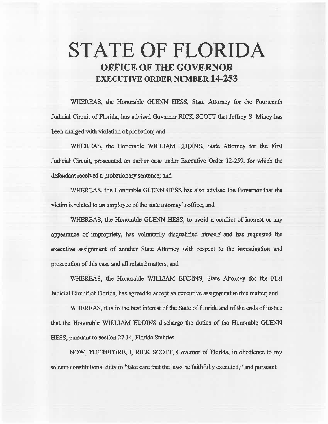## **STATE OF FLORIDA OFFICE OF THE GOVERNOR EXECUTIVE ORDER NUMBER 14-253**

WHEREAS, the Honorable GLENN HESS, State Attorney for the Fourteenth Judicial Circuit of Florida, has advised Governor RICK SCOTT that Jeffrey S. Mincy has been charged with violation of probation; and

WHEREAS, the Honorable WILLIAM EDDINS, State Attorney for the First Judicial Circuit, prosecuted an earlier case under Executive Order 12-259, for which the defendant received a probationary sentence; and

WHEREAS. the Honorable GLENN HESS has also advised the Governor that the victim is related to an employee of the state attorney's office; and

WHEREAS, the Honorable GLENN HESS, to avoid a conflict of interest or any appearance of impropriety, has voluntarily disqualified himself and has requested the executive assignment of another State Attorney with respect to the investigation and prosecution of this case and all related matters; and

WHEREAS, the Honorable WILLIAM EDDINS, State Attorney for the First Judicial Circuit of Florida, has agreed to accept an executive assignment in this matter; and

WHEREAS, it is in the best interest of the State of Florida and of the ends of justice that the Honorable WJLLIAM EDDINS discharge the duties of the Honorable GLENN HESS, pursuant to section 27.14, Florida Statutes.

NOW, TIIEREFORE, I, RICK SCOTT, Governor of Florida, in obedience to my solemn constitutional duty to "take care that the laws be faithfully executed," and pursuant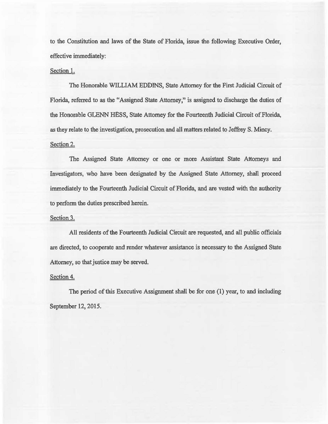to the Constitution and laws of the State of Florida, issue the following Executive Order, effective immediately:

## Section 1.

The Honorable WILLIAM EDDINS, State Attorney for the First Judicial Circuit of Florida, referred to as the "Assigned State Attorney," is assigned to discharge the duties of the Honorable GLENN HESS, State Attorney for the Fourteenth Judicial Circuit of Florida, as they relate to the investigation, prosecution and all matters related to Jeffrey S. Mincy. Section 2.

The Assigned State Attorney or one or more Assistant State Attorneys and Investigators, who have been designated by the Assigned State Attorney, shall proceed immediately to the Fourteenth Judicial Circuit of Florida, and are vested with the authority to perform the duties prescribed herein.

## Section 3.

All residents of the Fourteenth Judicial Circuit are requested, and all public officials are directed, to cooperate and render whatever assistance is necessary to the Assigned State Attorney, so that justice may be served.

## Section 4.

The period of this Executive Assignment shall be for one (1) year, to and including September 12, 2015.